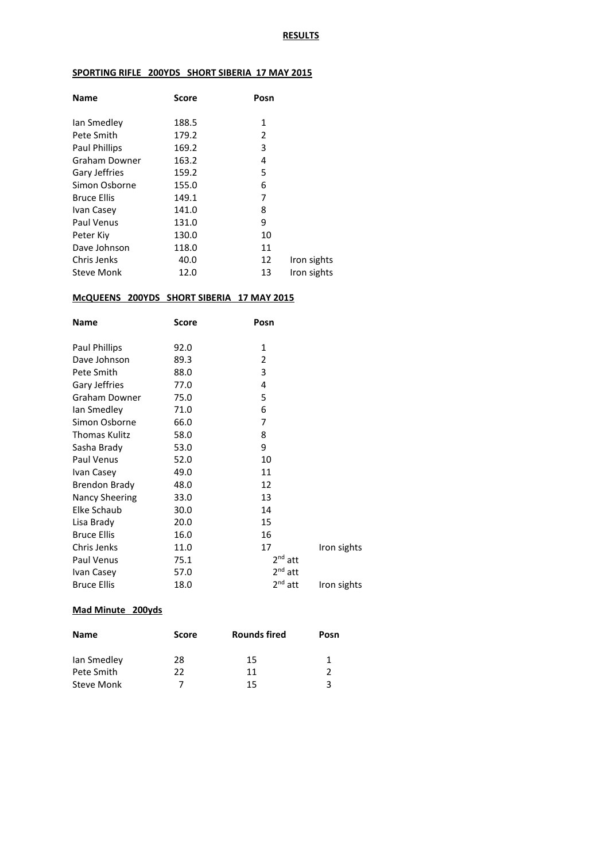### **SPORTING RIFLE 200YDS SHORT SIBERIA 17 MAY 2015**

| <b>Name</b>          | <b>Score</b> | Posn |             |
|----------------------|--------------|------|-------------|
| lan Smedley          | 188.5        | 1    |             |
| Pete Smith           | 179.2        | 2    |             |
| <b>Paul Phillips</b> | 169.2        | 3    |             |
| Graham Downer        | 163.2        | 4    |             |
| Gary Jeffries        | 159.2        | 5    |             |
| Simon Osborne        | 155.0        | 6    |             |
| <b>Bruce Ellis</b>   | 149.1        | 7    |             |
| Ivan Casey           | 141.0        | 8    |             |
| Paul Venus           | 131.0        | 9    |             |
| Peter Kiv            | 130.0        | 10   |             |
| Dave Johnson         | 118.0        | 11   |             |
| Chris Jenks          | 40.0         | 12   | Iron sights |
| <b>Steve Monk</b>    | 12.0         | 13   | Iron sights |

## **McQUEENS 200YDS SHORT SIBERIA 17 MAY 2015**

| <b>Name</b>          | <b>Score</b> | Posn      |             |
|----------------------|--------------|-----------|-------------|
| Paul Phillips        | 92.0         | 1         |             |
| Dave Johnson         | 89.3         | 2         |             |
| Pete Smith           | 88.0         | 3         |             |
| Gary Jeffries        | 77.0         | 4         |             |
| Graham Downer        | 75.0         | 5         |             |
| lan Smedley          | 71.0         | 6         |             |
| Simon Osborne        | 66.0         | 7         |             |
| <b>Thomas Kulitz</b> | 58.0         | 8         |             |
| Sasha Brady          | 53.0         | 9         |             |
| Paul Venus           | 52.0         | 10        |             |
| Ivan Casey           | 49.0         | 11        |             |
| Brendon Brady        | 48.0         | 12        |             |
| Nancy Sheering       | 33.0         | 13        |             |
| Elke Schaub          | 30.0         | 14        |             |
| Lisa Brady           | 20.0         | 15        |             |
| <b>Bruce Ellis</b>   | 16.0         | 16        |             |
| Chris Jenks          | 11.0         | 17        | Iron sights |
| Paul Venus           | 75.1         | $2nd$ att |             |
| Ivan Casey           | 57.0         | $2nd$ att |             |
| <b>Bruce Ellis</b>   | 18.0         | $2nd$ att | Iron sights |

## **Mad Minute 200yds**

| <b>Name</b>       | <b>Score</b> | <b>Rounds fired</b> | Posn |
|-------------------|--------------|---------------------|------|
| lan Smedley       | 28           | 15                  |      |
| Pete Smith        | 22           | 11                  |      |
| <b>Steve Monk</b> |              | 15                  | ્ર   |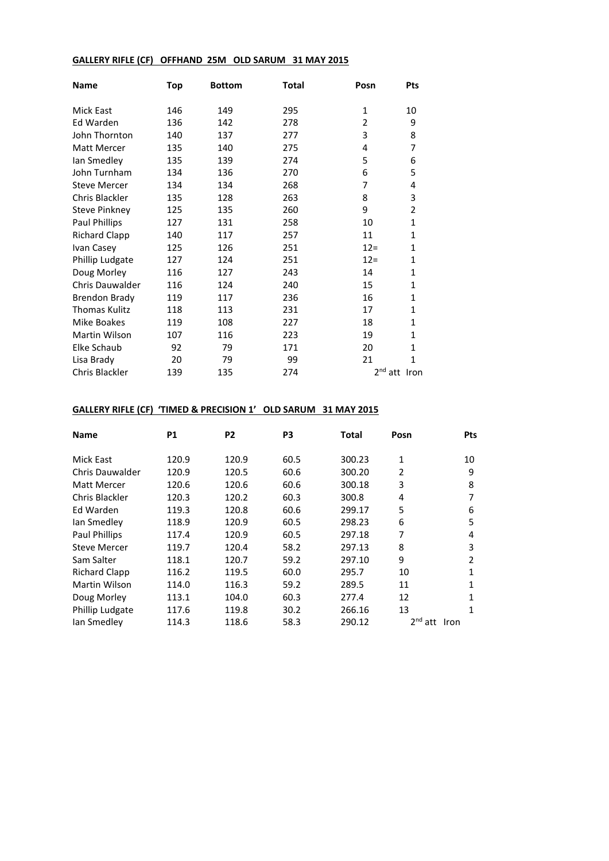## **GALLERY RIFLE (CF) OFFHAND 25M OLD SARUM 31 MAY 2015**

| <b>Name</b>          | Top | <b>Bottom</b> | Total | Posn                     | Pts            |
|----------------------|-----|---------------|-------|--------------------------|----------------|
| <b>Mick East</b>     | 146 | 149           | 295   | $\mathbf{1}$             | 10             |
| Ed Warden            | 136 | 142           | 278   | $\overline{2}$           | 9              |
| John Thornton        | 140 | 137           | 277   | 3                        | 8              |
| Matt Mercer          | 135 | 140           | 275   | 4                        | 7              |
| lan Smedley          | 135 | 139           | 274   | 5                        | 6              |
| John Turnham         | 134 | 136           | 270   | 6                        | 5              |
| <b>Steve Mercer</b>  | 134 | 134           | 268   | 7                        | 4              |
| Chris Blackler       | 135 | 128           | 263   | 8                        | 3              |
| <b>Steve Pinkney</b> | 125 | 135           | 260   | 9                        | $\overline{2}$ |
| Paul Phillips        | 127 | 131           | 258   | 10                       | $\mathbf{1}$   |
| <b>Richard Clapp</b> | 140 | 117           | 257   | 11                       | $\mathbf 1$    |
| Ivan Casey           | 125 | 126           | 251   | $12 =$                   | $\mathbf{1}$   |
| Phillip Ludgate      | 127 | 124           | 251   | $12=$                    | $\mathbf{1}$   |
| Doug Morley          | 116 | 127           | 243   | 14                       | $\mathbf{1}$   |
| Chris Dauwalder      | 116 | 124           | 240   | 15                       | $\mathbf 1$    |
| <b>Brendon Brady</b> | 119 | 117           | 236   | 16                       | $\mathbf{1}$   |
| <b>Thomas Kulitz</b> | 118 | 113           | 231   | 17                       | $\mathbf{1}$   |
| Mike Boakes          | 119 | 108           | 227   | 18                       | $\mathbf{1}$   |
| Martin Wilson        | 107 | 116           | 223   | 19                       | $\mathbf{1}$   |
| Elke Schaub          | 92  | 79            | 171   | 20                       | $\mathbf{1}$   |
| Lisa Brady           | 20  | 79            | 99    | 21                       | $\mathbf{1}$   |
| Chris Blackler       | 139 | 135           | 274   | 2 <sup>nd</sup> att Iron |                |

# **GALLERY RIFLE (CF) 'TIMED & PRECISION 1' OLD SARUM 31 MAY 2015**

| <b>Name</b>            | P1    | P <sub>2</sub> | P3   | Total  | Posn                   | Pts  |
|------------------------|-------|----------------|------|--------|------------------------|------|
| Mick East              | 120.9 | 120.9          | 60.5 | 300.23 | $\mathbf{1}$           | 10   |
| <b>Chris Dauwalder</b> | 120.9 | 120.5          | 60.6 | 300.20 | $\overline{2}$         | 9    |
| Matt Mercer            | 120.6 | 120.6          | 60.6 | 300.18 | 3                      | 8    |
| Chris Blackler         | 120.3 | 120.2          | 60.3 | 300.8  | 4                      | 7    |
| Ed Warden              | 119.3 | 120.8          | 60.6 | 299.17 | 5                      | 6    |
| Ian Smedley            | 118.9 | 120.9          | 60.5 | 298.23 | 6                      | 5    |
| <b>Paul Phillips</b>   | 117.4 | 120.9          | 60.5 | 297.18 | 7                      | 4    |
| <b>Steve Mercer</b>    | 119.7 | 120.4          | 58.2 | 297.13 | 8                      | 3    |
| Sam Salter             | 118.1 | 120.7          | 59.2 | 297.10 | 9                      | 2    |
| <b>Richard Clapp</b>   | 116.2 | 119.5          | 60.0 | 295.7  | 10                     | 1    |
| <b>Martin Wilson</b>   | 114.0 | 116.3          | 59.2 | 289.5  | 11                     | 1    |
| Doug Morley            | 113.1 | 104.0          | 60.3 | 277.4  | 12                     | 1    |
| Phillip Ludgate        | 117.6 | 119.8          | 30.2 | 266.16 | 13                     | 1    |
| lan Smedley            | 114.3 | 118.6          | 58.3 | 290.12 | 2 <sup>nd</sup><br>att | Iron |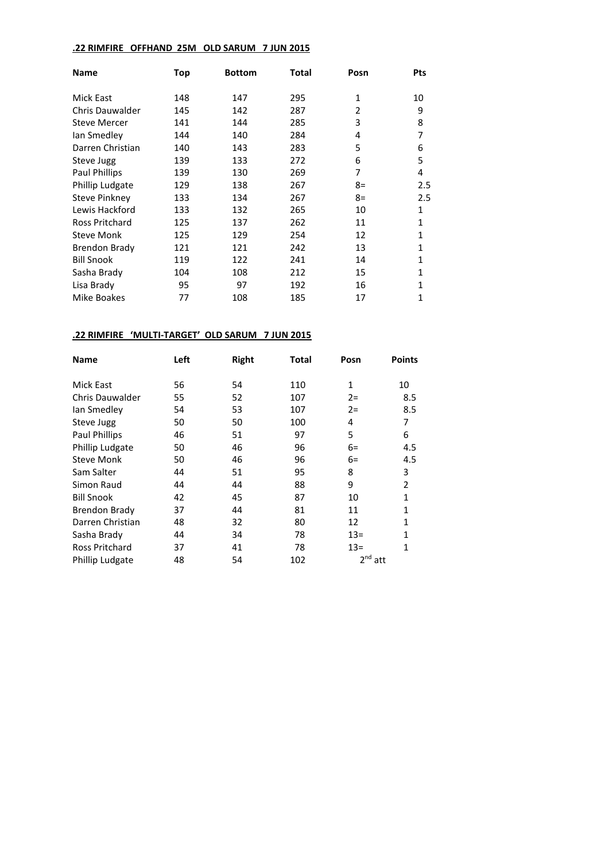#### **.22 RIMFIRE OFFHAND 25M OLD SARUM 7 JUN 2015**

| <b>Name</b>            | Top | <b>Bottom</b> | Total | Posn | Pts          |
|------------------------|-----|---------------|-------|------|--------------|
| Mick East              | 148 | 147           | 295   | 1    | 10           |
| <b>Chris Dauwalder</b> | 145 | 142           | 287   | 2    | 9            |
| <b>Steve Mercer</b>    | 141 | 144           | 285   | 3    | 8            |
| lan Smedley            | 144 | 140           | 284   | 4    | 7            |
| Darren Christian       | 140 | 143           | 283   | 5    | 6            |
| Steve Jugg             | 139 | 133           | 272   | 6    | 5            |
| Paul Phillips          | 139 | 130           | 269   | 7    | 4            |
| Phillip Ludgate        | 129 | 138           | 267   | $8=$ | 2.5          |
| <b>Steve Pinkney</b>   | 133 | 134           | 267   | $8=$ | 2.5          |
| Lewis Hackford         | 133 | 132           | 265   | 10   | 1            |
| Ross Pritchard         | 125 | 137           | 262   | 11   | 1            |
| <b>Steve Monk</b>      | 125 | 129           | 254   | 12   | 1            |
| <b>Brendon Brady</b>   | 121 | 121           | 242   | 13   | 1            |
| <b>Bill Snook</b>      | 119 | 122           | 241   | 14   | 1            |
| Sasha Brady            | 104 | 108           | 212   | 15   | $\mathbf{1}$ |
| Lisa Brady             | 95  | 97            | 192   | 16   | 1            |
| Mike Boakes            | 77  | 108           | 185   | 17   | 1            |

## **.22 RIMFIRE 'MULTI-TARGET' OLD SARUM 7 JUN 2015**

| <b>Name</b>            | Left | <b>Right</b> | Total | Posn      | <b>Points</b>  |
|------------------------|------|--------------|-------|-----------|----------------|
| Mick East              | 56   | 54           | 110   | 1         | 10             |
| <b>Chris Dauwalder</b> | 55   | 52           | 107   | $2 =$     | 8.5            |
| lan Smedley            | 54   | 53           | 107   | $2 =$     | 8.5            |
| Steve Jugg             | 50   | 50           | 100   | 4         | 7              |
| Paul Phillips          | 46   | 51           | 97    | 5         | 6              |
| Phillip Ludgate        | 50   | 46           | 96    | $6=$      | 4.5            |
| <b>Steve Monk</b>      | 50   | 46           | 96    | $6=$      | 4.5            |
| Sam Salter             | 44   | 51           | 95    | 8         | 3              |
| Simon Raud             | 44   | 44           | 88    | 9         | $\mathfrak{p}$ |
| <b>Bill Snook</b>      | 42   | 45           | 87    | 10        | 1              |
| <b>Brendon Brady</b>   | 37   | 44           | 81    | 11        | $\mathbf{1}$   |
| Darren Christian       | 48   | 32           | 80    | 12        | 1              |
| Sasha Brady            | 44   | 34           | 78    | $13=$     | $\mathbf{1}$   |
| Ross Pritchard         | 37   | 41           | 78    | $13=$     | 1              |
| Phillip Ludgate        | 48   | 54           | 102   | $2nd$ att |                |